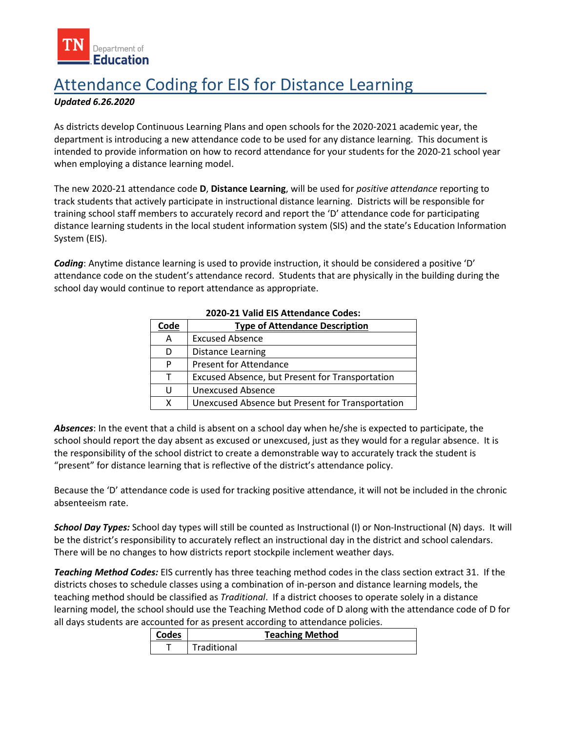

## Attendance Coding for EIS for Distance Learning

## *Updated 6.26.2020*

 As districts develop Continuous Learning Plans and open schools for the 2020-2021 academic year, the department is introducing a new attendance code to be used for any distance learning. This document is intended to provide information on how to record attendance for your students for the 2020-21 school year when employing a distance learning model.

The new 2020-21 attendance code **D**, **Distance Learning**, will be used for *positive attendance* reporting to track students that actively participate in instructional distance learning. Districts will be responsible for training school staff members to accurately record and report the 'D' attendance code for participating distance learning students in the local student information system (SIS) and the state's Education Information System (EIS).

 attendance code on the student's attendance record. Students that are physically in the building during the *Coding*: Anytime distance learning is used to provide instruction, it should be considered a positive 'D' school day would continue to report attendance as appropriate.

| Code | <b>Type of Attendance Description</b>            |
|------|--------------------------------------------------|
| A    | <b>Excused Absence</b>                           |
| D    | <b>Distance Learning</b>                         |
| P    | <b>Present for Attendance</b>                    |
| Τ    | Excused Absence, but Present for Transportation  |
| U    | <b>Unexcused Absence</b>                         |
| x    | Unexcused Absence but Present for Transportation |

## **2020-21 Valid EIS Attendance Codes:**

 school should report the day absent as excused or unexcused, just as they would for a regular absence. It is "present" for distance learning that is reflective of the district's attendance policy. *Absences*: In the event that a child is absent on a school day when he/she is expected to participate, the the responsibility of the school district to create a demonstrable way to accurately track the student is

"present" for distance learning that is reflective of the district's attendance policy.<br>Because the 'D' attendance code is used for tracking positive attendance, it will not be included in the chronic absenteeism rate.

be the district's responsibility to accurately reflect an instructional day in the district and school calendars.<br>There will be no changes to how districts report stockpile inclement weather days. *School Day Types:* School day types will still be counted as Instructional (I) or Non-Instructional (N) days. It will

 teaching method should be classified as *Traditional*. If a district chooses to operate solely in a distance all days students are accounted for as present according to attendance policies. ool should use the Teaching Method code of D along with the attendance<br>counted for as present according to attendance policies.<br>Codes Teaching Method<br>Tanditional *Teaching Method Codes:* EIS currently has three [teaching method](https://www.tn.gov/content/dam/tn/education/technology/EIS/eis_extracts_layout_2019-20.pdf) codes in the class section extract 31. If the districts choses to schedule classes using a combination of in-person and distance learning models, the learning model, the school should use the Teaching Method code of D along with the attendance code of D for

| Codes |             | <b>Teaching Method</b> |  |
|-------|-------------|------------------------|--|
|       | Traditional |                        |  |